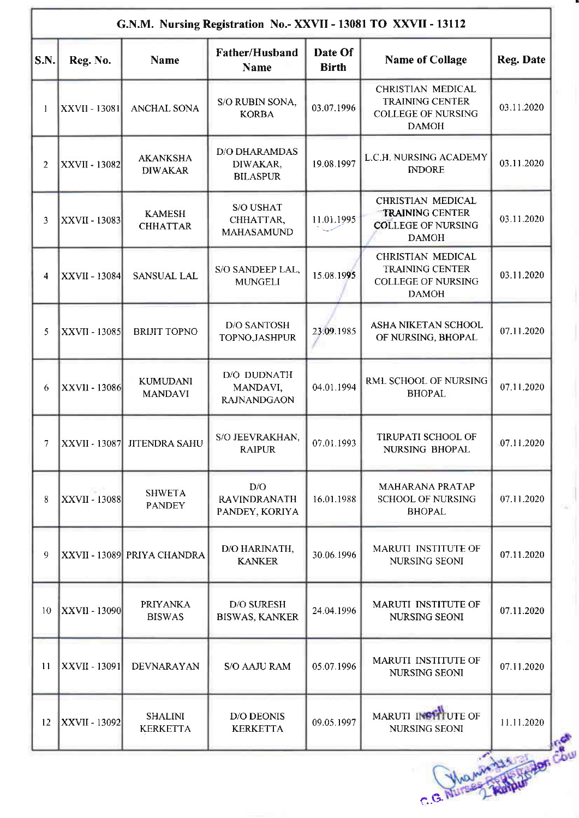|                | G.N.M. Nursing Registration No.- XXVII - 13081 TO XXVII - 13112 |                                    |                                                     |                         |                                                                                                 |                  |
|----------------|-----------------------------------------------------------------|------------------------------------|-----------------------------------------------------|-------------------------|-------------------------------------------------------------------------------------------------|------------------|
| S.N.           | Reg. No.                                                        | <b>Name</b>                        | Father/Husband<br><b>Name</b>                       | Date Of<br><b>Birth</b> | <b>Name of Collage</b>                                                                          | <b>Reg. Date</b> |
| 1              | <b>XXVII - 13081</b>                                            | <b>ANCHAL SONA</b>                 | S/O RUBIN SONA,<br><b>KORBA</b>                     | 03.07.1996              | <b>CHRISTIAN MEDICAL</b><br><b>TRAINING CENTER</b><br><b>COLLEGE OF NURSING</b><br><b>DAMOH</b> | 03.11.2020       |
| 2              | <b>XXVII - 13082</b>                                            | <b>AKANKSHA</b><br><b>DIWAKAR</b>  | <b>D/O DHARAMDAS</b><br>DIWAKAR,<br><b>BILASPUR</b> | 19.08.1997              | L.C.H. NURSING ACADEMY<br><b>INDORE</b>                                                         | 03.11.2020       |
| 3              | <b>XXVII - 13083</b>                                            | <b>KAMESH</b><br><b>CHHATTAR</b>   | S/O USHAT<br>CHHATTAR,<br><b>MAHASAMUND</b>         | 11.01.1995              | <b>CHRISTIAN MEDICAL</b><br><b>TRAINING CENTER</b><br><b>COLLEGE OF NURSING</b><br><b>DAMOH</b> | 03.11.2020       |
| 4              | <b>XXVII - 13084</b>                                            | <b>SANSUAL LAL</b>                 | S/O SANDEEP LAL,<br><b>MUNGELI</b>                  | 15.08.1995              | CHRISTIAN MEDICAL<br><b>TRAINING CENTER</b><br>COLLEGE OF NURSING<br><b>DAMOH</b>               | 03.11.2020       |
| 5              | XXVII - 13085                                                   | <b>BRIJIT TOPNO</b>                | <b>D/O SANTOSH</b><br>TOPNO, JASHPUR                | 23.09.1985              | ASHA NIKETAN SCHOOL<br>OF NURSING, BHOPAL                                                       | 07.11.2020       |
| 6              | <b>XXVII - 13086</b>                                            | <b>KUMUDANI</b><br><b>MANDAVI</b>  | D/O DUDNATH<br>MANDAVI,<br><b>RAJNANDGAON</b>       | 04.01.1994              | RML SCHOOL OF NURSING<br><b>BHOPAL</b>                                                          | 07.11.2020       |
| $\overline{7}$ |                                                                 | XXVII - 13087 JITENDRA SAHU        | S/O JEEVRAKHAN,<br>RAIPUR                           | 07.01.1993              | TIRUPATI SCHOOL OF<br>NURSING BHOPAL                                                            | 07.11.2020       |
| 8              | <b>XXVII - 13088</b>                                            | <b>SHWETA</b><br><b>PANDEY</b>     | D/O<br><b>RAVINDRANATH</b><br>PANDEY, KORIYA        | 16.01.1988              | MAHARANA PRATAP<br><b>SCHOOL OF NURSING</b><br><b>BHOPAL</b>                                    | 07.11.2020       |
| 9              |                                                                 | <b>XXVII - 13089 PRIYA CHANDRA</b> | D/O HARINATH,<br><b>KANKER</b>                      | 30.06.1996              | MARUTI INSTITUTE OF<br><b>NURSING SEONI</b>                                                     | 07.11.2020       |
| 10             | <b>XXVII - 13090</b>                                            | <b>PRIYANKA</b><br><b>BISWAS</b>   | D/O SURESH<br><b>BISWAS, KANKER</b>                 | 24.04.1996              | MARUTI INSTITUTE OF<br>NURSING SEONI                                                            | 07.11.2020       |
| 11             | <b>XXVII - 13091</b>                                            | DEVNARAYAN                         | <b>S/O AAJU RAM</b>                                 | 05.07.1996              | MARUTI INSTITUTE OF<br>NURSING SEONI                                                            | 07.11.2020       |
| 12             | <b>XXVII - 13092</b>                                            | <b>SHALINI</b><br><b>KERKETTA</b>  | <b>D/O DEONIS</b><br><b>KERKETTA</b>                | 09.05.1997              | MARUTI INSTITUTE OF<br>NURSING SEONI<br>C.G. Nurses St. H. Royaldi Cou                          | 11.11.2020       |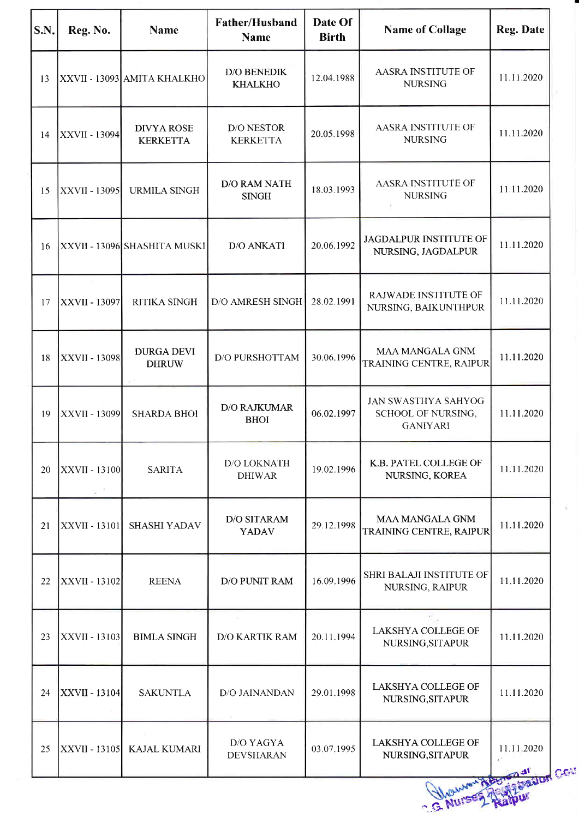| S.N. | Reg. No.             | <b>Name</b>                          | Father/Husband<br><b>Name</b>                     | Date Of<br><b>Birth</b> | <b>Name of Collage</b>                                              | Reg. Date  |
|------|----------------------|--------------------------------------|---------------------------------------------------|-------------------------|---------------------------------------------------------------------|------------|
| 13   |                      | XXVII - 13093 AMITA KHALKHO          | $\mathbf{D}/\mathbf{O}$ BENEDIK<br><b>KHALKHO</b> | 12.04.1988              | AASRA INSTITUTE OF<br><b>NURSING</b>                                | 11.11.2020 |
| 14   | <b>XXVII - 13094</b> | <b>DIVYA ROSE</b><br><b>KERKETTA</b> | <b>D/O NESTOR</b><br><b>KERKETTA</b>              | 20.05.1998              | AASRA INSTITUTE OF<br><b>NURSING</b>                                | 11.11.2020 |
| 15   | <b>XXVII - 13095</b> | <b>URMILA SINGH</b>                  | D/O RAM NATH<br><b>SINGH</b>                      | 18.03.1993              | AASRA INSTITUTE OF<br><b>NURSING</b>                                | 11.11.2020 |
| 16   |                      | <b>XXVII - 13096 SHASHITA MUSKI</b>  | <b>D/O ANKATI</b>                                 | 20.06.1992              | JAGDALPUR INSTITUTE OF<br>NURSING, JAGDALPUR                        | 11.11.2020 |
| 17   | XXVII - 13097        | RITIKA SINGH                         | <b>D/O AMRESH SINGH</b>                           | 28.02.1991              | RAJWADE INSTITUTE OF<br>NURSING, BAIKUNTHPUR                        | 11.11.2020 |
| 18   | <b>XXVII - 13098</b> | <b>DURGA DEVI</b><br><b>DHRUW</b>    | <b>D/O PURSHOTTAM</b>                             | 30.06.1996              | MAA MANGALA GNM<br>TRAINING CENTRE, RAIPUR                          | 11.11.2020 |
| 19   | <b>XXVII - 13099</b> | <b>SHARDA BHOI</b>                   | D/O RAJKUMAR<br><b>BHOI</b>                       | 06.02.1997              | <b>JAN SWASTHYA SAHYOG</b><br>SCHOOL OF NURSING,<br><b>GANIYARI</b> | 11.11.2020 |
| 20   | <b>XXVII - 13100</b> | <b>SARITA</b>                        | <b>D/O LOKNATH</b><br><b>DHIWAR</b>               | 19.02.1996              | K.B. PATEL COLLEGE OF<br>NURSING, KOREA                             | 11.11.2020 |
| 21   | <b>XXVII</b> - 13101 | SHASHI YADAV                         | <b>D/O SITARAM</b><br><b>YADAV</b>                | 29.12.1998              | <b>MAA MANGALA GNM</b><br>TRAINING CENTRE, RAIPUR                   | 11.11.2020 |
| 22   | <b>XXVII - 13102</b> | <b>REENA</b>                         | D/O PUNIT RAM                                     | 16.09.1996              | SHRI BALAJI INSTITUTE OF<br>NURSING, RAIPUR                         | 11.11.2020 |
| 23   | <b>XXVII - 13103</b> | <b>BIMLA SINGH</b>                   | D/O KARTIK RAM                                    | 20.11.1994              | LAKSHYA COLLEGE OF<br>NURSING, SITAPUR                              | 11.11.2020 |
| 24   | <b>XXVII - 13104</b> | <b>SAKUNTLA</b>                      | D/O JAINANDAN                                     | 29.01.1998              | LAKSHYA COLLEGE OF<br>NURSING, SITAPUR                              | 11.11.2020 |
| 25   | <b>XXVII - 13105</b> | <b>KAJAL KUMARI</b>                  | D/O YAGYA<br><b>DEVSHARAN</b>                     | 03.07.1995              | LAKSHYA COLLEGE OF<br>NURSING, SITAPUR                              | 11.11.2020 |
|      |                      |                                      |                                                   |                         | G NUISER A                                                          | ation Cost |